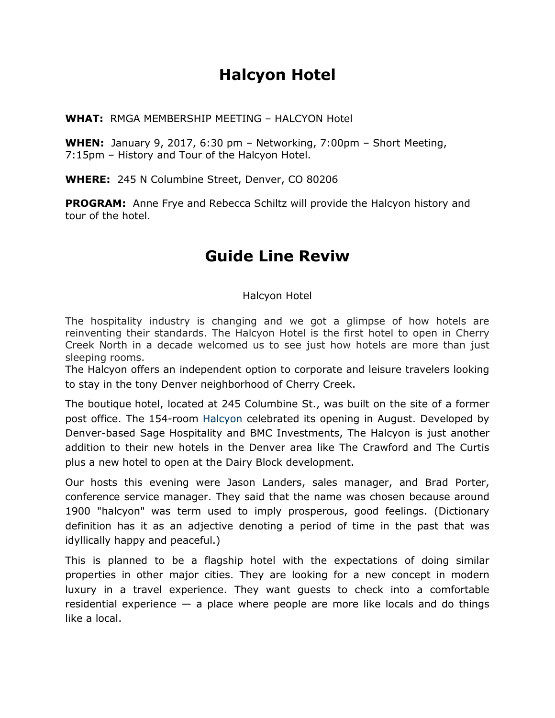## **Halcyon Hotel**

**WHAT:** RMGA MEMBERSHIP MEETING – HALCYON Hotel

**WHEN:** January 9, 2017, 6:30 pm – Networking, 7:00pm – Short Meeting, 7:15pm – History and Tour of the Halcyon Hotel.

**WHERE:** 245 N Columbine Street, Denver, CO 80206

**PROGRAM:** Anne Frye and Rebecca Schiltz will provide the Halcyon history and tour of the hotel.

## **Guide Line Reviw**

Halcyon Hotel

The hospitality industry is changing and we got a glimpse of how hotels are reinventing their standards. The Halcyon Hotel is the first hotel to open in Cherry Creek North in a decade welcomed us to see just how hotels are more than just sleeping rooms.

The Halcyon offers an independent option to corporate and leisure travelers looking to stay in the tony Denver neighborhood of Cherry Creek.

The boutique hotel, located at 245 Columbine St., was built on the site of a [former](http://www.denverpost.com/2015/02/18/denver-developers-sage-bmc-launch-70-million-hotel-in-cherry-creek/) post [office.](http://www.denverpost.com/2015/02/18/denver-developers-sage-bmc-launch-70-million-hotel-in-cherry-creek/) The 154-room [Halcyon](http://www.halcyonhotelcherrycreek.com/) celebrated its opening in August. Developed by Denver-based Sage Hospitality and BMC Investments, The Halcyon is just another addition to their new hotels in the Denver area like The Crawford and The Curtis plus a new hotel to open at the Dairy Block development.

Our hosts this evening were Jason Landers, sales manager, and Brad Porter, conference service manager. They said that the name was chosen because around 1900 "halcyon" was term used to imply prosperous, good feelings. (Dictionary definition has it as an adjective denoting a period of time in the past that was idyllically happy and peaceful.)

This is planned to be a flagship hotel with the expectations of doing similar properties in other major cities. They are looking for a new concept in modern luxury in a travel experience. They want guests to check into a comfortable residential experience  $-$  a place where people are more like locals and do things like a local.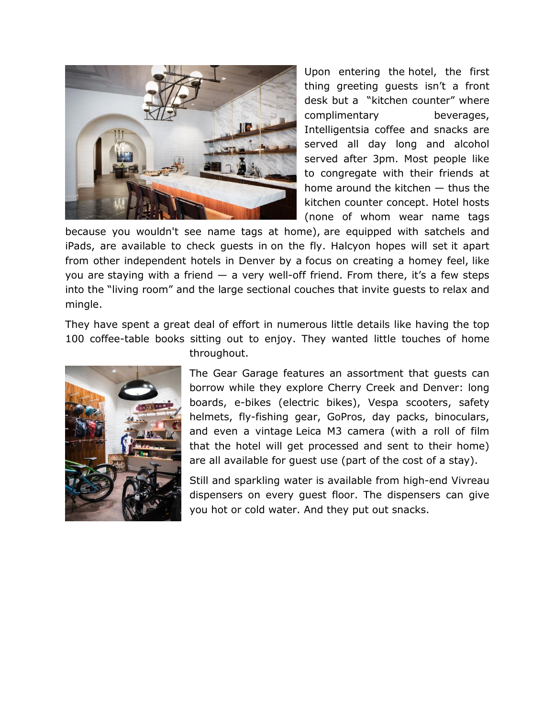

Upon entering the hotel, the first thing greeting guests isn't a front desk but a "kitchen counter" where complimentary beverages, Intelligentsia coffee and snacks are served all day long and alcohol served after 3pm. Most people like to congregate with their friends at home around the kitchen — thus the kitchen counter concept. Hotel hosts (none of whom wear name tags

because you wouldn't see name tags at home), are equipped with satchels and iPads, are available to check guests in on the fly. Halcyon hopes will set it apart from other independent hotels in Denver by a focus on creating a homey feel, like you are staying with a friend  $-$  a very well-off friend. From there, it's a few steps into the "living room" and the large sectional couches that invite guests to relax and mingle.

They have spent a great deal of effort in numerous little details like having the top 100 coffee-table books sitting out to enjoy. They wanted little touches of home



throughout.

The Gear Garage features an assortment that guests can borrow while they explore Cherry Creek and Denver: long boards, [e-bikes](http://www.denverpost.com/2016/07/17/colorado-e-bike-commuter-revolution/) (electric bikes), Vespa scooters, safety helmets, fly-fishing gear, GoPros, day packs, binoculars, and even a vintage Leica M3 camera (with a roll of film that the hotel will get processed and sent to their home) are all available for guest use (part of the cost of a stay).

Still and sparkling water is available from high-end Vivreau dispensers on every guest floor. The dispensers can give you hot or cold water. And they put out snacks.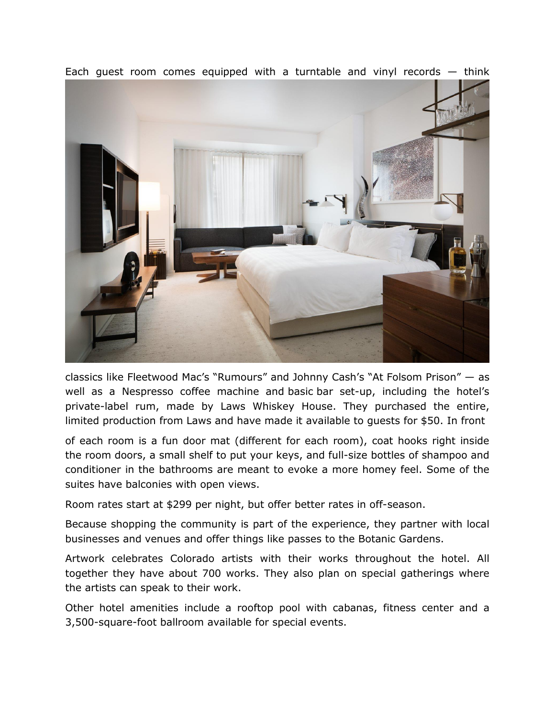

Each guest room comes equipped with a turntable and vinyl records  $-$  think

classics like Fleetwood Mac's "Rumours" and Johnny Cash's "At Folsom Prison" — as well as a Nespresso coffee machine and basic bar set-up, including the hotel's private-label rum, made by Laws [Whiskey](http://www.lawswhiskeyhouse.com/) House. They purchased the entire, limited production from Laws and have made it available to guests for \$50. In front

of each room is a fun door mat (different for each room), coat hooks right inside the room doors, a small shelf to put your keys, and full-size bottles of shampoo and conditioner in the bathrooms are meant to evoke a more homey feel. Some of the suites have balconies with open views.

Room rates start at \$299 per night, but offer better rates in off-season.

Because shopping the community is part of the experience, they partner with local businesses and venues and offer things like passes to the Botanic Gardens.

Artwork celebrates Colorado artists with their works throughout the hotel. All together they have about 700 works. They also plan on special gatherings where the artists can speak to their work.

Other hotel amenities include a rooftop pool with cabanas, fitness center and a 3,500-square-foot ballroom available for special events.